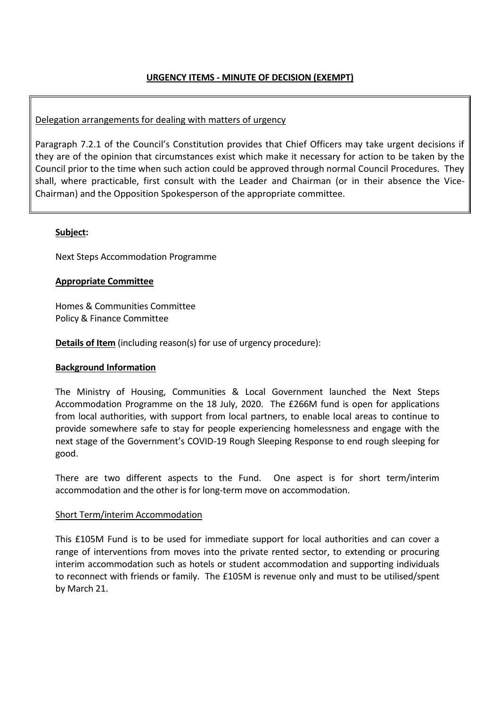# **URGENCY ITEMS - MINUTE OF DECISION (EXEMPT)**

## Delegation arrangements for dealing with matters of urgency

Paragraph 7.2.1 of the Council's Constitution provides that Chief Officers may take urgent decisions if they are of the opinion that circumstances exist which make it necessary for action to be taken by the Council prior to the time when such action could be approved through normal Council Procedures. They shall, where practicable, first consult with the Leader and Chairman (or in their absence the Vice-Chairman) and the Opposition Spokesperson of the appropriate committee.

#### **Subject:**

Next Steps Accommodation Programme

## **Appropriate Committee**

Homes & Communities Committee Policy & Finance Committee

**Details of Item** (including reason(s) for use of urgency procedure):

## **Background Information**

The Ministry of Housing, Communities & Local Government launched the Next Steps Accommodation Programme on the 18 July, 2020. The £266M fund is open for applications from local authorities, with support from local partners, to enable local areas to continue to provide somewhere safe to stay for people experiencing homelessness and engage with the next stage of the Government's COVID-19 Rough Sleeping Response to end rough sleeping for good.

There are two different aspects to the Fund. One aspect is for short term/interim accommodation and the other is for long-term move on accommodation.

## Short Term/interim Accommodation

This £105M Fund is to be used for immediate support for local authorities and can cover a range of interventions from moves into the private rented sector, to extending or procuring interim accommodation such as hotels or student accommodation and supporting individuals to reconnect with friends or family. The £105M is revenue only and must to be utilised/spent by March 21.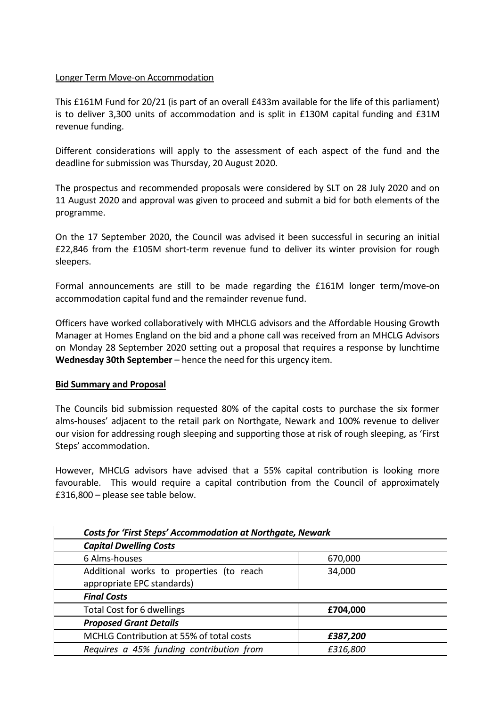## Longer Term Move-on Accommodation

This £161M Fund for 20/21 (is part of an overall £433m available for the life of this parliament) is to deliver 3,300 units of accommodation and is split in £130M capital funding and £31M revenue funding.

Different considerations will apply to the assessment of each aspect of the fund and the deadline for submission was Thursday, 20 August 2020.

The prospectus and recommended proposals were considered by SLT on 28 July 2020 and on 11 August 2020 and approval was given to proceed and submit a bid for both elements of the programme.

On the 17 September 2020, the Council was advised it been successful in securing an initial £22,846 from the £105M short-term revenue fund to deliver its winter provision for rough sleepers.

Formal announcements are still to be made regarding the £161M longer term/move-on accommodation capital fund and the remainder revenue fund.

Officers have worked collaboratively with MHCLG advisors and the Affordable Housing Growth Manager at Homes England on the bid and a phone call was received from an MHCLG Advisors on Monday 28 September 2020 setting out a proposal that requires a response by lunchtime **Wednesday 30th September** – hence the need for this urgency item.

# **Bid Summary and Proposal**

The Councils bid submission requested 80% of the capital costs to purchase the six former alms-houses' adjacent to the retail park on Northgate, Newark and 100% revenue to deliver our vision for addressing rough sleeping and supporting those at risk of rough sleeping, as 'First Steps' accommodation.

However, MHCLG advisors have advised that a 55% capital contribution is looking more favourable. This would require a capital contribution from the Council of approximately £316,800 – please see table below.

| <b>Costs for 'First Steps' Accommodation at Northgate, Newark</b> |          |
|-------------------------------------------------------------------|----------|
| <b>Capital Dwelling Costs</b>                                     |          |
| 6 Alms-houses                                                     | 670,000  |
| Additional works to properties (to reach                          | 34,000   |
| appropriate EPC standards)                                        |          |
| <b>Final Costs</b>                                                |          |
| Total Cost for 6 dwellings                                        | £704,000 |
| <b>Proposed Grant Details</b>                                     |          |
| MCHLG Contribution at 55% of total costs                          | £387,200 |
| Requires a 45% funding contribution from                          | £316,800 |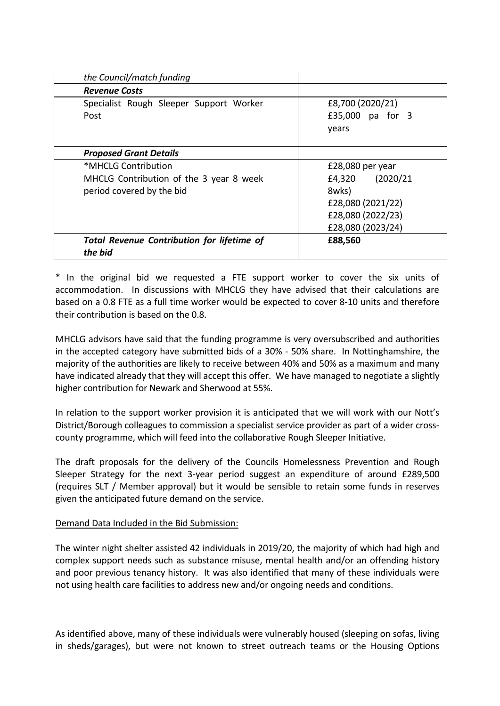| the Council/match funding                                            |                                                                                         |
|----------------------------------------------------------------------|-----------------------------------------------------------------------------------------|
| <b>Revenue Costs</b>                                                 |                                                                                         |
| Specialist Rough Sleeper Support Worker<br>Post                      | £8,700 (2020/21)<br>£35,000 pa for 3<br>years                                           |
| <b>Proposed Grant Details</b>                                        |                                                                                         |
| *MHCLG Contribution                                                  | £28,080 per year                                                                        |
| MHCLG Contribution of the 3 year 8 week<br>period covered by the bid | £4,320 (2020/21<br>8wks)<br>£28,080 (2021/22)<br>£28,080 (2022/23)<br>£28,080 (2023/24) |
| <b>Total Revenue Contribution for lifetime of</b><br>the bid         | £88,560                                                                                 |

\* In the original bid we requested a FTE support worker to cover the six units of accommodation. In discussions with MHCLG they have advised that their calculations are based on a 0.8 FTE as a full time worker would be expected to cover 8-10 units and therefore their contribution is based on the 0.8.

MHCLG advisors have said that the funding programme is very oversubscribed and authorities in the accepted category have submitted bids of a 30% - 50% share. In Nottinghamshire, the majority of the authorities are likely to receive between 40% and 50% as a maximum and many have indicated already that they will accept this offer. We have managed to negotiate a slightly higher contribution for Newark and Sherwood at 55%.

In relation to the support worker provision it is anticipated that we will work with our Nott's District/Borough colleagues to commission a specialist service provider as part of a wider crosscounty programme, which will feed into the collaborative Rough Sleeper Initiative.

The draft proposals for the delivery of the Councils Homelessness Prevention and Rough Sleeper Strategy for the next 3-year period suggest an expenditure of around £289,500 (requires SLT / Member approval) but it would be sensible to retain some funds in reserves given the anticipated future demand on the service.

## Demand Data Included in the Bid Submission:

The winter night shelter assisted 42 individuals in 2019/20, the majority of which had high and complex support needs such as substance misuse, mental health and/or an offending history and poor previous tenancy history. It was also identified that many of these individuals were not using health care facilities to address new and/or ongoing needs and conditions.

As identified above, many of these individuals were vulnerably housed (sleeping on sofas, living in sheds/garages), but were not known to street outreach teams or the Housing Options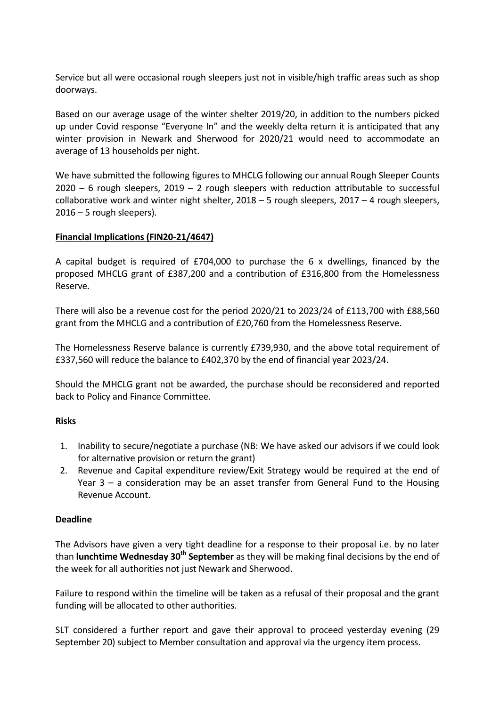Service but all were occasional rough sleepers just not in visible/high traffic areas such as shop doorways.

Based on our average usage of the winter shelter 2019/20, in addition to the numbers picked up under Covid response "Everyone In" and the weekly delta return it is anticipated that any winter provision in Newark and Sherwood for 2020/21 would need to accommodate an average of 13 households per night.

We have submitted the following figures to MHCLG following our annual Rough Sleeper Counts  $2020 - 6$  rough sleepers,  $2019 - 2$  rough sleepers with reduction attributable to successful collaborative work and winter night shelter, 2018 – 5 rough sleepers, 2017 – 4 rough sleepers, 2016 – 5 rough sleepers).

## **Financial Implications (FIN20-21/4647)**

A capital budget is required of £704,000 to purchase the 6 x dwellings, financed by the proposed MHCLG grant of £387,200 and a contribution of £316,800 from the Homelessness Reserve.

There will also be a revenue cost for the period 2020/21 to 2023/24 of £113,700 with £88,560 grant from the MHCLG and a contribution of £20,760 from the Homelessness Reserve.

The Homelessness Reserve balance is currently £739,930, and the above total requirement of £337,560 will reduce the balance to £402,370 by the end of financial year 2023/24.

Should the MHCLG grant not be awarded, the purchase should be reconsidered and reported back to Policy and Finance Committee.

## **Risks**

- 1. Inability to secure/negotiate a purchase (NB: We have asked our advisors if we could look for alternative provision or return the grant)
- 2. Revenue and Capital expenditure review/Exit Strategy would be required at the end of Year 3 – a consideration may be an asset transfer from General Fund to the Housing Revenue Account.

## **Deadline**

The Advisors have given a very tight deadline for a response to their proposal i.e. by no later than **lunchtime Wednesday 30th September** as they will be making final decisions by the end of the week for all authorities not just Newark and Sherwood.

Failure to respond within the timeline will be taken as a refusal of their proposal and the grant funding will be allocated to other authorities.

SLT considered a further report and gave their approval to proceed yesterday evening (29 September 20) subject to Member consultation and approval via the urgency item process.